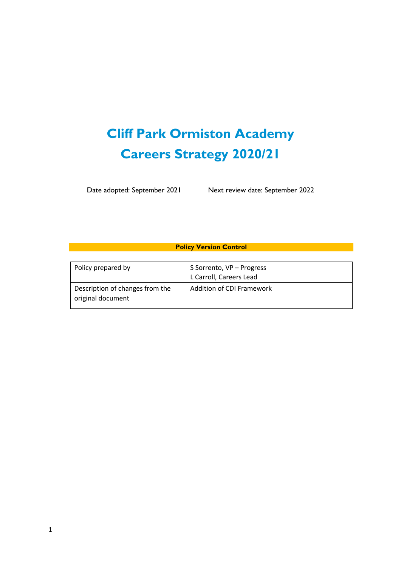# **Cliff Park Ormiston Academy Careers Strategy 2020/21**

Date adopted: September 2021 Next review date: September 2022

**Policy Version Control**

| Policy prepared by                                   | S Sorrento, VP - Progress<br>L Carroll, Careers Lead |  |  |
|------------------------------------------------------|------------------------------------------------------|--|--|
| Description of changes from the<br>original document | Addition of CDI Framework                            |  |  |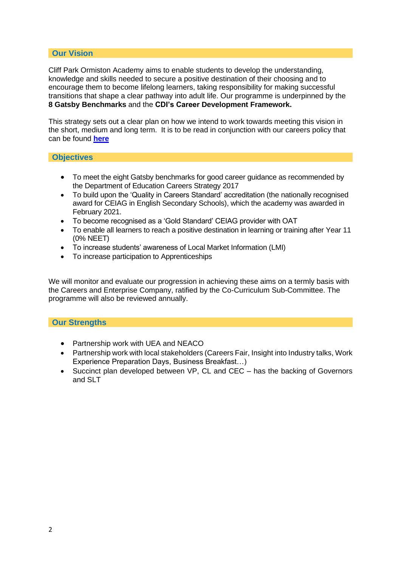## **Our Vision**

Cliff Park Ormiston Academy aims to enable students to develop the understanding, knowledge and skills needed to secure a positive destination of their choosing and to encourage them to become lifelong learners, taking responsibility for making successful transitions that shape a clear pathway into adult life. Our programme is underpinned by the **8 Gatsby Benchmarks** and the **CDI's Career Development Framework.** 

This strategy sets out a clear plan on how we intend to work towards meeting this vision in the short, medium and long term. It is to be read in conjunction with our careers policy that can be found **[here](https://ormistonacademiestrust.sharepoint.com/:w:/s/CPOACEIAG/EfXJKwz0dPFCtqNshBXmSssBg-wrpbXA4_r-8qJq1HVtWw?e=eCFFgl)**

## **Objectives**

- To meet the eight Gatsby benchmarks for good career guidance as recommended by the Department of Education Careers Strategy 2017
- To build upon the 'Quality in Careers Standard' accreditation (the nationally recognised award for CEIAG in English Secondary Schools), which the academy was awarded in February 2021.
- To become recognised as a 'Gold Standard' CEIAG provider with OAT
- To enable all learners to reach a positive destination in learning or training after Year 11 (0% NEET)
- To increase students' awareness of Local Market Information (LMI)
- To increase participation to Apprenticeships

We will monitor and evaluate our progression in achieving these aims on a termly basis with the Careers and Enterprise Company, ratified by the Co-Curriculum Sub-Committee. The programme will also be reviewed annually.

## **Our Strengths**

- Partnership work with UEA and NEACO
- Partnership work with local stakeholders (Careers Fair, Insight into Industry talks, Work Experience Preparation Days, Business Breakfast…)
- Succinct plan developed between VP, CL and CEC has the backing of Governors and SLT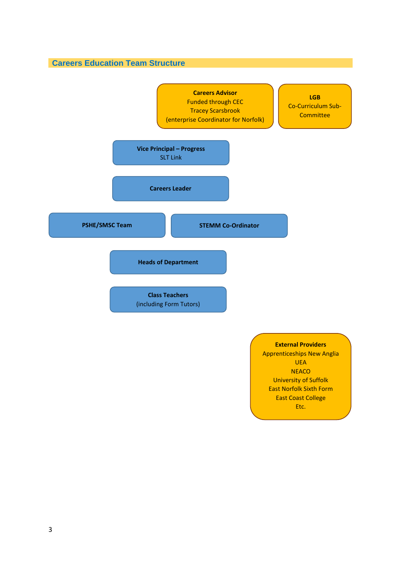**Careers Education Team Structure**



University of Suffolk East Norfolk Sixth Form East Coast College Etc.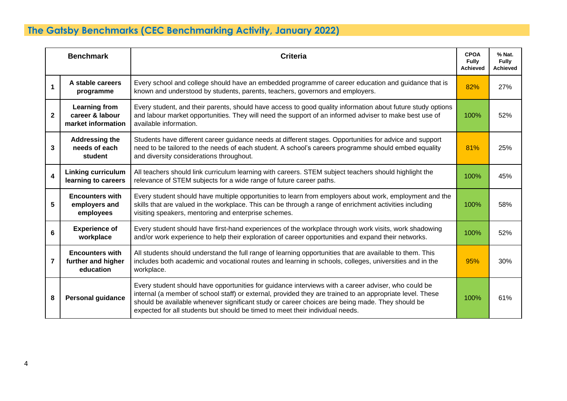## **The Gatsby Benchmarks (CEC Benchmarking Activity, January 2022)**

| <b>Benchmark</b>        |                                                               | <b>Criteria</b>                                                                                                                                                                                                                                                                                                                                                                                      | <b>CPOA</b><br><b>Fully</b><br><b>Achieved</b> | % Nat.<br><b>Fully</b><br><b>Achieved</b> |
|-------------------------|---------------------------------------------------------------|------------------------------------------------------------------------------------------------------------------------------------------------------------------------------------------------------------------------------------------------------------------------------------------------------------------------------------------------------------------------------------------------------|------------------------------------------------|-------------------------------------------|
| $\mathbf{1}$            | A stable careers<br>programme                                 | Every school and college should have an embedded programme of career education and guidance that is<br>known and understood by students, parents, teachers, governors and employers.                                                                                                                                                                                                                 | 82%                                            | 27%                                       |
| $\mathbf{2}$            | <b>Learning from</b><br>career & labour<br>market information | Every student, and their parents, should have access to good quality information about future study options<br>and labour market opportunities. They will need the support of an informed adviser to make best use of<br>available information.                                                                                                                                                      | 100%                                           | 52%                                       |
| 3                       | <b>Addressing the</b><br>needs of each<br>student             | Students have different career guidance needs at different stages. Opportunities for advice and support<br>need to be tailored to the needs of each student. A school's careers programme should embed equality<br>and diversity considerations throughout.                                                                                                                                          | 81%                                            | 25%                                       |
| $\overline{\mathbf{4}}$ | <b>Linking curriculum</b><br>learning to careers              | All teachers should link curriculum learning with careers. STEM subject teachers should highlight the<br>relevance of STEM subjects for a wide range of future career paths.                                                                                                                                                                                                                         | 100%                                           | 45%                                       |
| 5                       | <b>Encounters with</b><br>employers and<br>employees          | Every student should have multiple opportunities to learn from employers about work, employment and the<br>skills that are valued in the workplace. This can be through a range of enrichment activities including<br>visiting speakers, mentoring and enterprise schemes.                                                                                                                           | 100%                                           | 58%                                       |
| 6                       | <b>Experience of</b><br>workplace                             | Every student should have first-hand experiences of the workplace through work visits, work shadowing<br>and/or work experience to help their exploration of career opportunities and expand their networks.                                                                                                                                                                                         | 100%                                           | 52%                                       |
| 7                       | <b>Encounters with</b><br>further and higher<br>education     | All students should understand the full range of learning opportunities that are available to them. This<br>includes both academic and vocational routes and learning in schools, colleges, universities and in the<br>workplace.                                                                                                                                                                    | 95%                                            | 30%                                       |
| 8                       | <b>Personal guidance</b>                                      | Every student should have opportunities for guidance interviews with a career adviser, who could be<br>internal (a member of school staff) or external, provided they are trained to an appropriate level. These<br>should be available whenever significant study or career choices are being made. They should be<br>expected for all students but should be timed to meet their individual needs. | 100%                                           | 61%                                       |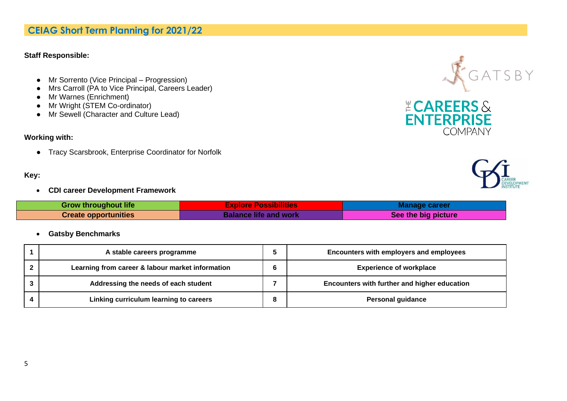## **CEIAG Short Term Planning for 2021/22**

#### **Staff Responsible:**

- Mr Sorrento (Vice Principal Progression)
- Mrs Carroll (PA to Vice Principal, Careers Leader)
- Mr Warnes (Enrichment)
- Mr Wright (STEM Co-ordinator)
- Mr Sewell (Character and Culture Lead)

## **Working with:**

● Tracy Scarsbrook, Enterprise Coordinator for Norfolk

## **Key:**

• **CDI career Development Framework**

| <b>Grow throughout life</b> | <b>Explore Possibilities</b> | <b>Manage career</b> |
|-----------------------------|------------------------------|----------------------|
| <b>Create opportunities</b> | <b>Balance life and work</b> | See the big picture  |

• **Gatsby Benchmarks**

| A stable careers programme                       | Encounters with employers and employees      |
|--------------------------------------------------|----------------------------------------------|
| Learning from career & labour market information | <b>Experience of workplace</b>               |
| Addressing the needs of each student             | Encounters with further and higher education |
| Linking curriculum learning to careers           | <b>Personal guidance</b>                     |





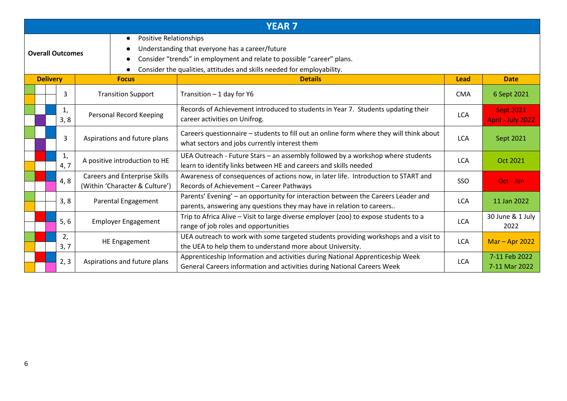|                         |                 |            |                                                                        | <b>YEAR 7</b>                                                                                                                                                                                       |             |                                       |
|-------------------------|-----------------|------------|------------------------------------------------------------------------|-----------------------------------------------------------------------------------------------------------------------------------------------------------------------------------------------------|-------------|---------------------------------------|
| <b>Overall Outcomes</b> |                 |            | <b>Positive Relationships</b><br>$\bullet$                             | Understanding that everyone has a career/future<br>Consider "trends" in employment and relate to possible "career" plans.<br>Consider the qualities, attitudes and skills needed for employability. |             |                                       |
|                         | <b>Delivery</b> |            | <b>Focus</b>                                                           | <b>Details</b>                                                                                                                                                                                      | <b>Lead</b> | <b>Date</b>                           |
|                         |                 | 3          | <b>Transition Support</b>                                              | Transition - 1 day for Y6                                                                                                                                                                           | <b>CMA</b>  | 6 Sept 2021                           |
|                         |                 | 1,<br>3, 8 | Personal Record Keeping                                                | Records of Achievement introduced to students in Year 7. Students updating their<br>career activities on Unifrog.                                                                                   | <b>LCA</b>  | <b>Sept 2021</b><br>April - July 2022 |
|                         |                 | 3          | Aspirations and future plans                                           | Careers questionnaire - students to fill out an online form where they will think about<br>what sectors and jobs currently interest them                                                            | <b>LCA</b>  | Sept 2021                             |
|                         |                 | 1,<br>4, 7 | A positive introduction to HE                                          | UEA Outreach - Future Stars - an assembly followed by a workshop where students<br>learn to identify links between HE and careers and skills needed                                                 | <b>LCA</b>  | Oct 2021                              |
|                         |                 | 4, 8       | <b>Careers and Enterprise Skills</b><br>(Within 'Character & Culture') | Awareness of consequences of actions now, in later life. Introduction to START and<br>Records of Achievement - Career Pathways                                                                      | SSO         | Oct - Jan                             |
|                         |                 | 3, 8       | Parental Engagement                                                    | Parents' Evening' - an opportunity for interaction between the Careers Leader and<br>parents, answering any questions they may have in relation to careers                                          | <b>LCA</b>  | 11 Jan 2022                           |
|                         |                 | 5, 6       | <b>Employer Engagement</b>                                             | Trip to Africa Alive - Visit to large diverse employer (zoo) to expose students to a<br>range of job roles and opportunities                                                                        | <b>LCA</b>  | 30 June & 1 July<br>2022              |
|                         |                 | 2,<br>3, 7 | HE Engagement                                                          | UEA outreach to work with some targeted students providing workshops and a visit to<br>the UEA to help them to understand more about University.                                                    | <b>LCA</b>  | $Mar - Apr 2022$                      |
|                         |                 | 2, 3       | Aspirations and future plans                                           | Apprenticeship Information and activities during National Apprenticeship Week<br>General Careers information and activities during National Careers Week                                            | <b>LCA</b>  | 7-11 Feb 2022<br>7-11 Mar 2022        |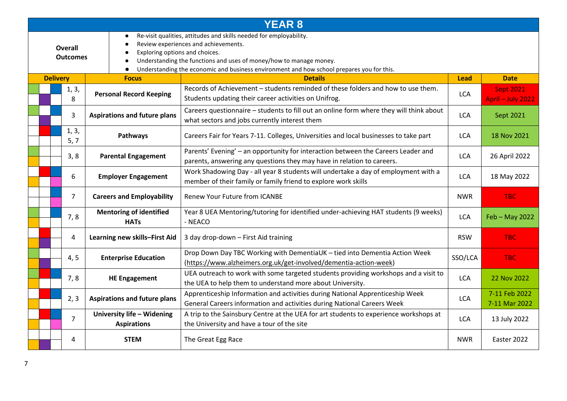|                                   | <b>YEAR 8</b>   |                |                                             |                                                                                                                                                                                                                                                                               |                                                                                                                                                             |             |                                       |
|-----------------------------------|-----------------|----------------|---------------------------------------------|-------------------------------------------------------------------------------------------------------------------------------------------------------------------------------------------------------------------------------------------------------------------------------|-------------------------------------------------------------------------------------------------------------------------------------------------------------|-------------|---------------------------------------|
| <b>Overall</b><br><b>Outcomes</b> |                 |                | $\bullet$<br>Exploring options and choices. | Re-visit qualities, attitudes and skills needed for employability.<br>Review experiences and achievements.<br>Understanding the functions and uses of money/how to manage money.<br>Understanding the economic and business environment and how school prepares you for this. |                                                                                                                                                             |             |                                       |
|                                   | <b>Delivery</b> |                |                                             | <b>Focus</b>                                                                                                                                                                                                                                                                  | <b>Details</b>                                                                                                                                              | <b>Lead</b> | <b>Date</b>                           |
|                                   |                 | 1, 3,<br>8     |                                             | <b>Personal Record Keeping</b>                                                                                                                                                                                                                                                | Records of Achievement – students reminded of these folders and how to use them.<br>Students updating their career activities on Unifrog.                   | <b>LCA</b>  | <b>Sept 2021</b><br>April - July 2022 |
|                                   |                 | 3              |                                             | <b>Aspirations and future plans</b>                                                                                                                                                                                                                                           | Careers questionnaire - students to fill out an online form where they will think about<br>what sectors and jobs currently interest them                    | <b>LCA</b>  | Sept 2021                             |
|                                   |                 | 1, 3,<br>5, 7  |                                             | Pathways                                                                                                                                                                                                                                                                      | Careers Fair for Years 7-11. Colleges, Universities and local businesses to take part                                                                       | <b>LCA</b>  | 18 Nov 2021                           |
|                                   |                 | 3, 8           |                                             | <b>Parental Engagement</b>                                                                                                                                                                                                                                                    | Parents' Evening' - an opportunity for interaction between the Careers Leader and<br>parents, answering any questions they may have in relation to careers. | <b>LCA</b>  | 26 April 2022                         |
|                                   |                 | 6              |                                             | <b>Employer Engagement</b>                                                                                                                                                                                                                                                    | Work Shadowing Day - all year 8 students will undertake a day of employment with a<br>member of their family or family friend to explore work skills        | <b>LCA</b>  | 18 May 2022                           |
|                                   |                 | $\overline{7}$ |                                             | <b>Careers and Employability</b>                                                                                                                                                                                                                                              | <b>Renew Your Future from ICANBE</b>                                                                                                                        | <b>NWR</b>  | <b>TBC</b>                            |
|                                   |                 | 7, 8           |                                             | <b>Mentoring of identified</b><br><b>HATs</b>                                                                                                                                                                                                                                 | Year 8 UEA Mentoring/tutoring for identified under-achieving HAT students (9 weeks)<br>- NEACO                                                              | <b>LCA</b>  | Feb - May 2022                        |
|                                   |                 | 4              |                                             | Learning new skills-First Aid                                                                                                                                                                                                                                                 | 3 day drop-down - First Aid training                                                                                                                        | <b>RSW</b>  | <b>TBC</b>                            |
|                                   |                 | 4, 5           |                                             | <b>Enterprise Education</b>                                                                                                                                                                                                                                                   | Drop Down Day TBC Working with DementiaUK - tied into Dementia Action Week<br>(https://www.alzheimers.org.uk/get-involved/dementia-action-week)             | SSO/LCA     | <b>TBC</b>                            |
|                                   |                 | 7,8            |                                             | <b>HE Engagement</b>                                                                                                                                                                                                                                                          | UEA outreach to work with some targeted students providing workshops and a visit to<br>the UEA to help them to understand more about University.            | <b>LCA</b>  | 22 Nov 2022                           |
|                                   |                 | 2, 3           |                                             | <b>Aspirations and future plans</b>                                                                                                                                                                                                                                           | Apprenticeship Information and activities during National Apprenticeship Week<br>General Careers information and activities during National Careers Week    | <b>LCA</b>  | 7-11 Feb 2022<br>7-11 Mar 2022        |
|                                   |                 | $\overline{7}$ |                                             | University life - Widening<br><b>Aspirations</b>                                                                                                                                                                                                                              | A trip to the Sainsbury Centre at the UEA for art students to experience workshops at<br>the University and have a tour of the site                         | <b>LCA</b>  | 13 July 2022                          |
|                                   |                 | 4              |                                             | <b>STEM</b>                                                                                                                                                                                                                                                                   | The Great Egg Race                                                                                                                                          | <b>NWR</b>  | Easter 2022                           |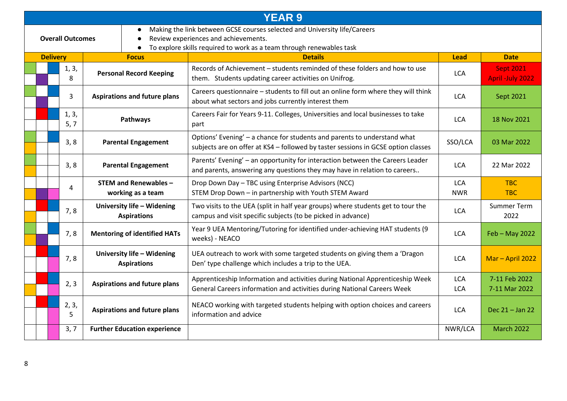| <b>YEAR 9</b>                                                                                                                                                                                                                                  |               |                                                   |                                                                                                                                                               |                          |                                             |  |  |
|------------------------------------------------------------------------------------------------------------------------------------------------------------------------------------------------------------------------------------------------|---------------|---------------------------------------------------|---------------------------------------------------------------------------------------------------------------------------------------------------------------|--------------------------|---------------------------------------------|--|--|
| Making the link between GCSE courses selected and University life/Careers<br>$\bullet$<br>Review experiences and achievements.<br><b>Overall Outcomes</b><br>$\bullet$<br>To explore skills required to work as a team through renewables task |               |                                                   |                                                                                                                                                               |                          |                                             |  |  |
| <b>Delivery</b>                                                                                                                                                                                                                                |               | <b>Focus</b>                                      | <b>Details</b>                                                                                                                                                | <b>Lead</b>              | <b>Date</b>                                 |  |  |
|                                                                                                                                                                                                                                                | 1, 3,<br>8    | <b>Personal Record Keeping</b>                    | Records of Achievement – students reminded of these folders and how to use<br>them. Students updating career activities on Unifrog.                           | <b>LCA</b>               | <b>Sept 2021</b><br><b>April -July 2022</b> |  |  |
|                                                                                                                                                                                                                                                | 3             | <b>Aspirations and future plans</b>               | Careers questionnaire - students to fill out an online form where they will think<br>about what sectors and jobs currently interest them                      | <b>LCA</b>               | Sept 2021                                   |  |  |
|                                                                                                                                                                                                                                                | 1, 3,<br>5, 7 | Pathways                                          | Careers Fair for Years 9-11. Colleges, Universities and local businesses to take<br>part                                                                      | <b>LCA</b>               | 18 Nov 2021                                 |  |  |
|                                                                                                                                                                                                                                                | 3, 8          | <b>Parental Engagement</b>                        | Options' Evening' - a chance for students and parents to understand what<br>subjects are on offer at KS4 - followed by taster sessions in GCSE option classes | SSO/LCA                  | 03 Mar 2022                                 |  |  |
|                                                                                                                                                                                                                                                | 3, 8          | <b>Parental Engagement</b>                        | Parents' Evening' - an opportunity for interaction between the Careers Leader<br>and parents, answering any questions they may have in relation to careers    | <b>LCA</b>               | 22 Mar 2022                                 |  |  |
|                                                                                                                                                                                                                                                | 4             | <b>STEM and Renewables -</b><br>working as a team | Drop Down Day - TBC using Enterprise Advisors (NCC)<br>STEM Drop Down - in partnership with Youth STEM Award                                                  | <b>LCA</b><br><b>NWR</b> | <b>TBC</b><br><b>TBC</b>                    |  |  |
|                                                                                                                                                                                                                                                | 7,8           | University life - Widening<br><b>Aspirations</b>  | Two visits to the UEA (split in half year groups) where students get to tour the<br>campus and visit specific subjects (to be picked in advance)              | <b>LCA</b>               | <b>Summer Term</b><br>2022                  |  |  |
|                                                                                                                                                                                                                                                | 7,8           | <b>Mentoring of identified HATs</b>               | Year 9 UEA Mentoring/Tutoring for identified under-achieving HAT students (9<br>weeks) - NEACO                                                                | <b>LCA</b>               | Feb - May 2022                              |  |  |
|                                                                                                                                                                                                                                                | 7, 8          | University life - Widening<br><b>Aspirations</b>  | UEA outreach to work with some targeted students on giving them a 'Dragon<br>Den' type challenge which includes a trip to the UEA.                            | <b>LCA</b>               | Mar - April 2022                            |  |  |
|                                                                                                                                                                                                                                                | 2, 3          | <b>Aspirations and future plans</b>               | Apprenticeship Information and activities during National Apprenticeship Week<br>General Careers information and activities during National Careers Week      | <b>LCA</b><br><b>LCA</b> | 7-11 Feb 2022<br>7-11 Mar 2022              |  |  |
|                                                                                                                                                                                                                                                | 2, 3,<br>5    | <b>Aspirations and future plans</b>               | NEACO working with targeted students helping with option choices and careers<br>information and advice                                                        | <b>LCA</b>               | Dec 21 - Jan 22                             |  |  |
|                                                                                                                                                                                                                                                | 3, 7          | <b>Further Education experience</b>               |                                                                                                                                                               | NWR/LCA                  | <b>March 2022</b>                           |  |  |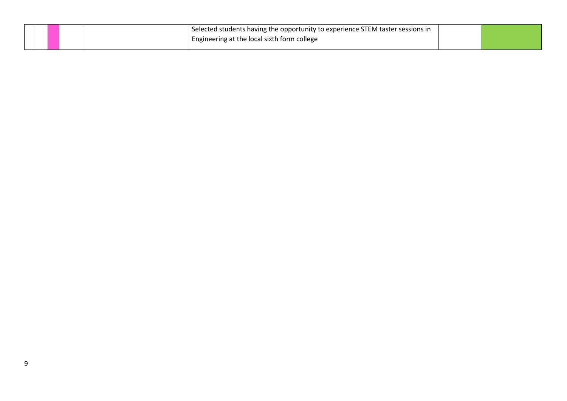|  |  | <sup>1</sup> Selected students having the opportunity to experience STEM taster sessions in |  |
|--|--|---------------------------------------------------------------------------------------------|--|
|  |  | <sup>1</sup> Engineering at the local sixth form college                                    |  |
|  |  |                                                                                             |  |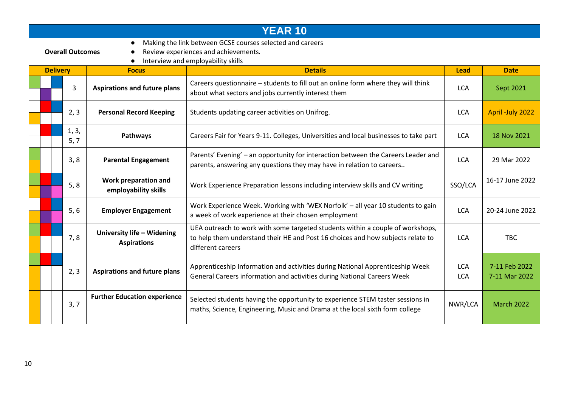|                         | <b>YEAR 10</b>  |               |                                                  |                                                                                                                                                                                        |                          |                                |  |
|-------------------------|-----------------|---------------|--------------------------------------------------|----------------------------------------------------------------------------------------------------------------------------------------------------------------------------------------|--------------------------|--------------------------------|--|
| <b>Overall Outcomes</b> |                 |               |                                                  | Making the link between GCSE courses selected and careers<br>Review experiences and achievements.<br>Interview and employability skills                                                |                          |                                |  |
|                         | <b>Delivery</b> |               | <b>Focus</b>                                     | <b>Details</b>                                                                                                                                                                         | <b>Lead</b>              | <b>Date</b>                    |  |
|                         |                 | 3             | <b>Aspirations and future plans</b>              | Careers questionnaire - students to fill out an online form where they will think<br>about what sectors and jobs currently interest them                                               | <b>LCA</b>               | Sept 2021                      |  |
|                         |                 | 2, 3          | <b>Personal Record Keeping</b>                   | Students updating career activities on Unifrog.                                                                                                                                        | <b>LCA</b>               | April -July 2022               |  |
|                         |                 | 1, 3,<br>5, 7 | Pathways                                         | Careers Fair for Years 9-11. Colleges, Universities and local businesses to take part                                                                                                  | <b>LCA</b>               | 18 Nov 2021                    |  |
|                         |                 | 3, 8          | <b>Parental Engagement</b>                       | Parents' Evening' - an opportunity for interaction between the Careers Leader and<br>parents, answering any questions they may have in relation to careers                             | <b>LCA</b>               | 29 Mar 2022                    |  |
|                         |                 | 5, 8          | Work preparation and<br>employability skills     | Work Experience Preparation lessons including interview skills and CV writing                                                                                                          | SSO/LCA                  | 16-17 June 2022                |  |
|                         |                 | 5, 6          | <b>Employer Engagement</b>                       | Work Experience Week. Working with 'WEX Norfolk' - all year 10 students to gain<br>a week of work experience at their chosen employment                                                | <b>LCA</b>               | 20-24 June 2022                |  |
|                         |                 | 7,8           | University life - Widening<br><b>Aspirations</b> | UEA outreach to work with some targeted students within a couple of workshops,<br>to help them understand their HE and Post 16 choices and how subjects relate to<br>different careers | <b>LCA</b>               | <b>TBC</b>                     |  |
|                         |                 | 2, 3          | <b>Aspirations and future plans</b>              | Apprenticeship Information and activities during National Apprenticeship Week<br>General Careers information and activities during National Careers Week                               | <b>LCA</b><br><b>LCA</b> | 7-11 Feb 2022<br>7-11 Mar 2022 |  |
|                         |                 | 3, 7          | <b>Further Education experience</b>              | Selected students having the opportunity to experience STEM taster sessions in<br>maths, Science, Engineering, Music and Drama at the local sixth form college                         | NWR/LCA                  | <b>March 2022</b>              |  |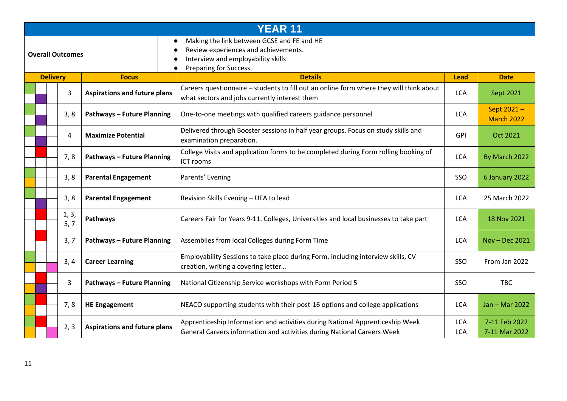|                         | <b>YEAR 11</b>  |                |                                                                                                                                                          |                                                                                                                                                          |                          |                                 |  |
|-------------------------|-----------------|----------------|----------------------------------------------------------------------------------------------------------------------------------------------------------|----------------------------------------------------------------------------------------------------------------------------------------------------------|--------------------------|---------------------------------|--|
| <b>Overall Outcomes</b> |                 |                | Making the link between GCSE and FE and HE<br>Review experiences and achievements.<br>Interview and employability skills<br><b>Preparing for Success</b> |                                                                                                                                                          |                          |                                 |  |
|                         | <b>Delivery</b> |                | <b>Focus</b>                                                                                                                                             | <b>Details</b>                                                                                                                                           | <b>Lead</b>              | <b>Date</b>                     |  |
|                         |                 | 3              | <b>Aspirations and future plans</b>                                                                                                                      | Careers questionnaire - students to fill out an online form where they will think about<br>what sectors and jobs currently interest them                 | <b>LCA</b>               | Sept 2021                       |  |
|                         |                 | 3, 8           | <b>Pathways - Future Planning</b>                                                                                                                        | One-to-one meetings with qualified careers guidance personnel                                                                                            | <b>LCA</b>               | Sept 2021-<br><b>March 2022</b> |  |
|                         |                 | $\overline{4}$ | <b>Maximize Potential</b>                                                                                                                                | Delivered through Booster sessions in half year groups. Focus on study skills and<br>examination preparation.                                            | <b>GPI</b>               | Oct 2021                        |  |
|                         |                 | 7,8            | <b>Pathways - Future Planning</b>                                                                                                                        | College Visits and application forms to be completed during Form rolling booking of<br>ICT rooms                                                         | <b>LCA</b>               | By March 2022                   |  |
|                         |                 | 3, 8           | <b>Parental Engagement</b>                                                                                                                               | Parents' Evening                                                                                                                                         | SSO                      | 6 January 2022                  |  |
|                         |                 | 3, 8           | <b>Parental Engagement</b>                                                                                                                               | Revision Skills Evening - UEA to lead                                                                                                                    | <b>LCA</b>               | 25 March 2022                   |  |
|                         |                 | 1, 3,<br>5, 7  | Pathways                                                                                                                                                 | Careers Fair for Years 9-11. Colleges, Universities and local businesses to take part                                                                    | <b>LCA</b>               | 18 Nov 2021                     |  |
|                         |                 | 3, 7           | <b>Pathways - Future Planning</b>                                                                                                                        | Assemblies from local Colleges during Form Time                                                                                                          | <b>LCA</b>               | Nov - Dec 2021                  |  |
|                         |                 | 3, 4           | <b>Career Learning</b>                                                                                                                                   | Employability Sessions to take place during Form, including interview skills, CV<br>creation, writing a covering letter                                  | SSO                      | From Jan 2022                   |  |
|                         |                 | 3              | <b>Pathways - Future Planning</b>                                                                                                                        | National Citizenship Service workshops with Form Period 5                                                                                                | SSO                      | <b>TBC</b>                      |  |
|                         |                 | 7, 8           | <b>HE Engagement</b>                                                                                                                                     | NEACO supporting students with their post-16 options and college applications                                                                            | <b>LCA</b>               | Jan - Mar 2022                  |  |
|                         |                 | 2, 3           | <b>Aspirations and future plans</b>                                                                                                                      | Apprenticeship Information and activities during National Apprenticeship Week<br>General Careers information and activities during National Careers Week | <b>LCA</b><br><b>LCA</b> | 7-11 Feb 2022<br>7-11 Mar 2022  |  |